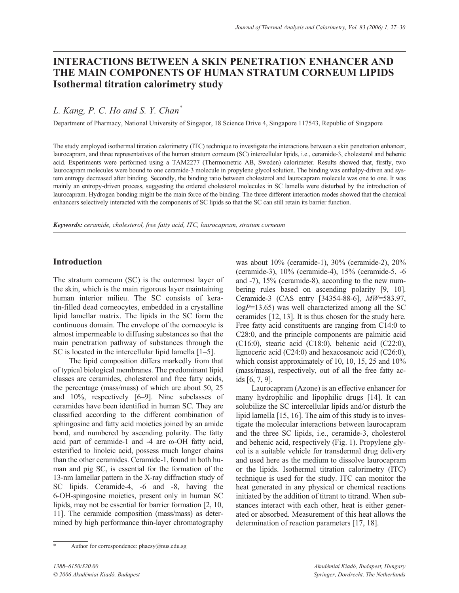# **INTERACTIONS BETWEEN A SKIN PENETRATION ENHANCER AND THE MAIN COMPONENTS OF HUMAN STRATUM CORNEUM LIPIDS Isothermal titration calorimetry study**

*L. Kang, P. C. Ho and S. Y. Chan\**

Department of Pharmacy, National University of Singapor, 18 Science Drive 4, Singapore 117543, Republic of Singapore

The study employed isothermal titration calorimetry (ITC) technique to investigate the interactions between a skin penetration enhancer, laurocapram, and three representatives of the human stratum corneum (SC) intercellular lipids, i.e., ceramide-3, cholesterol and behenic acid. Experiments were performed using a TAM2277 (Thermometric AB, Sweden) calorimeter. Results showed that, firstly, two laurocapram molecules were bound to one ceramide-3 molecule in propylene glycol solution. The binding was enthalpy-driven and system entropy decreased after binding. Secondly, the binding ratio between cholesterol and laurocapram molecule was one to one. It was mainly an entropy-driven process, suggesting the ordered cholesterol molecules in SC lamella were disturbed by the introduction of laurocapram. Hydrogen bonding might be the main force of the binding. The three different interaction modes showed that the chemical enhancers selectively interacted with the components of SC lipids so that the SC can still retain its barrier function.

*Keywords: ceramide, cholesterol, free fatty acid, ITC, laurocapram, stratum corneum*

# **Introduction**

The stratum corneum (SC) is the outermost layer of the skin, which is the main rigorous layer maintaining human interior milieu. The SC consists of keratin-filled dead corneocytes, embedded in a crystalline lipid lamellar matrix. The lipids in the SC form the continuous domain. The envelope of the corneocyte is almost impermeable to diffusing substances so that the main penetration pathway of substances through the SC is located in the intercellular lipid lamella [1–5].

The lipid composition differs markedly from that of typical biological membranes. The predominant lipid classes are ceramides, cholesterol and free fatty acids, the percentage (mass/mass) of which are about 50, 25 and 10%, respectively [6–9]. Nine subclasses of ceramides have been identified in human SC. They are classified according to the different combination of sphingosine and fatty acid moieties joined by an amide bond, and numbered by ascending polarity. The fatty acid part of ceramide-1 and -4 are ω-OH fatty acid, esterified to linoleic acid, possess much longer chains than the other ceramides. Ceramide-1, found in both human and pig SC, is essential for the formation of the 13-nm lamellar pattern in the X-ray diffraction study of SC lipids. Ceramide-4, -6 and -8, having the 6-OH-spingosine moieties, present only in human SC lipids, may not be essential for barrier formation [2, 10, 11]. The ceramide composition (mass/mass) as determined by high performance thin-layer chromatography

was about 10% (ceramide-1), 30% (ceramide-2), 20% (ceramide-3), 10% (ceramide-4), 15% (ceramide-5, -6 and -7), 15% (ceramide-8), according to the new numbering rules based on ascending polarity [9, 10]. Ceramide-3 (CAS entry [34354-88-6], *MW*=583.97, log*P*=13.65) was well characterized among all the SC ceramides [12, 13]. It is thus chosen for the study here. Free fatty acid constituents are ranging from C14:0 to C28:0, and the principle components are palmitic acid (C16:0), stearic acid (C18:0), behenic acid (C22:0), lignoceric acid (C24:0) and hexacosanoic acid (C26:0), which consist approximately of 10, 10, 15, 25 and  $10\%$ (mass/mass), respectively, out of all the free fatty acids [6, 7, 9].

Laurocapram (Azone) is an effective enhancer for many hydrophilic and lipophilic drugs [14]. It can solubilize the SC intercellular lipids and/or disturb the lipid lamella [15, 16]. The aim of this study is to investigate the molecular interactions between laurocapram and the three SC lipids, i.e., ceramide-3, cholesterol and behenic acid, respectively (Fig. 1). Propylene glycol is a suitable vehicle for transdermal drug delivery and used here as the medium to dissolve laurocapram or the lipids. Isothermal titration calorimetry (ITC) technique is used for the study. ITC can monitor the heat generated in any physical or chemical reactions initiated by the addition of titrant to titrand. When substances interact with each other, heat is either generated or absorbed. Measurement of this heat allows the determination of reaction parameters [17, 18].

Author for correspondence: phacsy@nus.edu.sg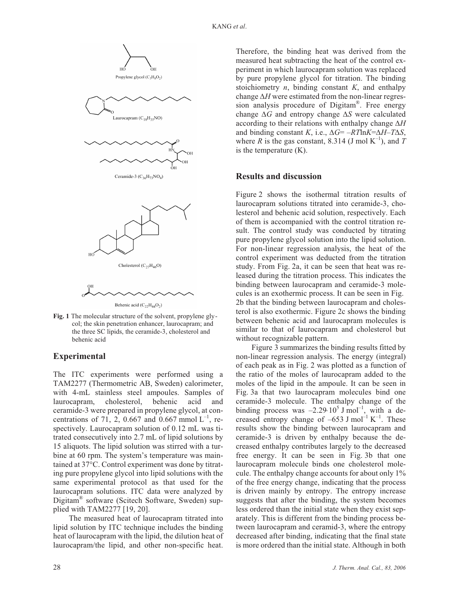

**Fig. 1** The molecular structure of the solvent, propylene glycol; the skin penetration enhancer, laurocapram; and the three SC lipids, the ceramide-3, cholesterol and behenic acid

# **Experimental**

The ITC experiments were performed using a TAM2277 (Thermometric AB, Sweden) calorimeter, with 4-mL stainless steel ampoules. Samples of laurocapram, cholesterol, behenic acid and ceramide-3 were prepared in propylene glycol, at concentrations of 71, 2, 0.667 and 0.667 mmol  $L^{-1}$ , respectively. Laurocapram solution of 0.12 mL was titrated consecutively into 2.7 mL of lipid solutions by 15 aliquots. The lipid solution was stirred with a turbine at 60 rpm. The system's temperature was maintained at 37°C. Control experiment was done by titrating pure propylene glycol into lipid solutions with the same experimental protocol as that used for the laurocapram solutions. ITC data were analyzed by Digitam® software (Scitech Software, Sweden) supplied with TAM2277 [19, 20].

The measured heat of laurocapram titrated into lipid solution by ITC technique includes the binding heat of laurocapram with the lipid, the dilution heat of laurocapram/the lipid, and other non-specific heat.

Therefore, the binding heat was derived from the measured heat subtracting the heat of the control experiment in which laurocapram solution was replaced by pure propylene glycol for titration. The binding stoichiometry *n*, binding constant *K*, and enthalpy change Δ*H* were estimated from the non-linear regression analysis procedure of Digitam®. Free energy change Δ*G* and entropy change Δ*S* were calculated according to their relations with enthalpy change Δ*H* and binding constant *K*, i.e., Δ*G*= –*RT*ln*K*=Δ*H*–*T*Δ*S*, where *R* is the gas constant, 8.314 (J mol  $K^{-1}$ ), and *T* is the temperature (K).

## **Results and discussion**

Figure 2 shows the isothermal titration results of laurocapram solutions titrated into ceramide-3, cholesterol and behenic acid solution, respectively. Each of them is accompanied with the control titration result. The control study was conducted by titrating pure propylene glycol solution into the lipid solution. For non-linear regression analysis, the heat of the control experiment was deducted from the titration study. From Fig. 2a, it can be seen that heat was released during the titration process. This indicates the binding between laurocapram and ceramide-3 molecules is an exothermic process. It can be seen in Fig. 2b that the binding between laurocapram and cholesterol is also exothermic. Figure 2c shows the binding between behenic acid and laurocapram molecules is similar to that of laurocapram and cholesterol but without recognizable pattern.

Figure 3 summarizes the binding results fitted by non-linear regression analysis. The energy (integral) of each peak as in Fig. 2 was plotted as a function of the ratio of the moles of laurocapram added to the moles of the lipid in the ampoule. It can be seen in Fig. 3a that two laurocapram molecules bind one ceramide-3 molecule. The enthalpy change of the binding process was  $-2.29 \cdot 10^5$  J mol<sup>-1</sup>, with a decreased entropy change of  $-653$  J mol<sup>-1</sup> K<sup>-1</sup>. These results show the binding between laurocapram and ceramide-3 is driven by enthalpy because the decreased enthalpy contributes largely to the decreased free energy. It can be seen in Fig. 3b that one laurocapram molecule binds one cholesterol molecule. The enthalpy change accounts for about only 1% of the free energy change, indicating that the process is driven mainly by entropy. The entropy increase suggests that after the binding, the system becomes less ordered than the initial state when they exist separately. This is different from the binding process between laurocapram and ceramid-3, where the entropy decreased after binding, indicating that the final state is more ordered than the initial state. Although in both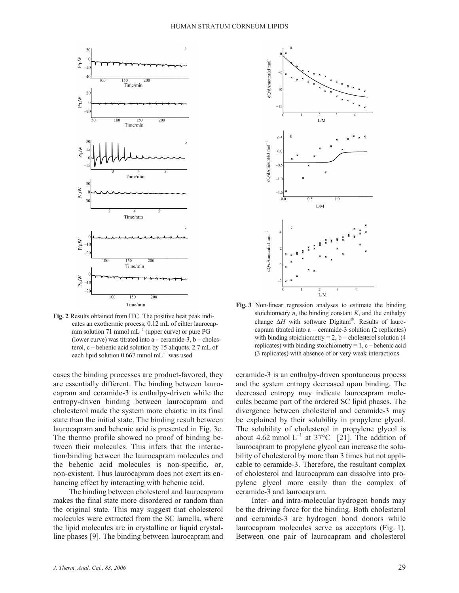

**Fig. 2** Results obtained from ITC. The positive heat peak indicates an exothermic process; 0.12 mL of eihter laurocapram solution 71 mmol  $mL^{-1}$  (upper curve) or pure PG (lower curve) was titrated into a – ceramide-3,  $b$  – cholesterol, c – behenic acid solution by 15 aliquots. 2.7 mL of each lipid solution  $0.667$  mmol mL<sup>-1</sup> was used

cases the binding processes are product-favored, they are essentially different. The binding between laurocapram and ceramide-3 is enthalpy-driven while the entropy-driven binding between laurocapram and cholesterol made the system more chaotic in its final state than the initial state. The binding result between laurocapram and behenic acid is presented in Fig. 3c. The thermo profile showed no proof of binding between their molecules. This infers that the interaction/binding between the laurocapram molecules and the behenic acid molecules is non-specific, or, non-existent. Thus laurocapram does not exert its enhancing effect by interacting with behenic acid.

The binding between cholesterol and laurocapram makes the final state more disordered or random than the original state. This may suggest that cholesterol molecules were extracted from the SC lamella, where the lipid molecules are in crystalline or liquid crystalline phases [9]. The binding between laurocapram and



**Fig. 3** Non-linear regression analyses to estimate the binding stoichiometry *n*, the binding constant *K*, and the enthalpy change Δ*H* with software Digitam®. Results of laurocapram titrated into a – ceramide-3 solution (2 replicates) with binding stoichiometry =  $2$ , b – cholesterol solution (4) replicates) with binding stoichiometry  $= 1$ , c – behenic acid (3 replicates) with absence of or very weak interactions

ceramide-3 is an enthalpy-driven spontaneous process and the system entropy decreased upon binding. The decreased entropy may indicate laurocapram molecules became part of the ordered SC lipid phases. The divergence between cholesterol and ceramide-3 may be explained by their solubility in propylene glycol. The solubility of cholesterol in propylene glycol is about 4.62 mmol  $L^{-1}$  at 37°C [21]. The addition of laurocapram to propylene glycol can increase the solubility of cholesterol by more than 3 times but not applicable to ceramide-3. Therefore, the resultant complex of cholesterol and laurocapram can dissolve into propylene glycol more easily than the complex of ceramide-3 and laurocapram.

Inter- and intra-molecular hydrogen bonds may be the driving force for the binding. Both cholesterol and ceramide-3 are hydrogen bond donors while laurocapram molecules serve as acceptors (Fig. 1). Between one pair of laurocapram and cholesterol